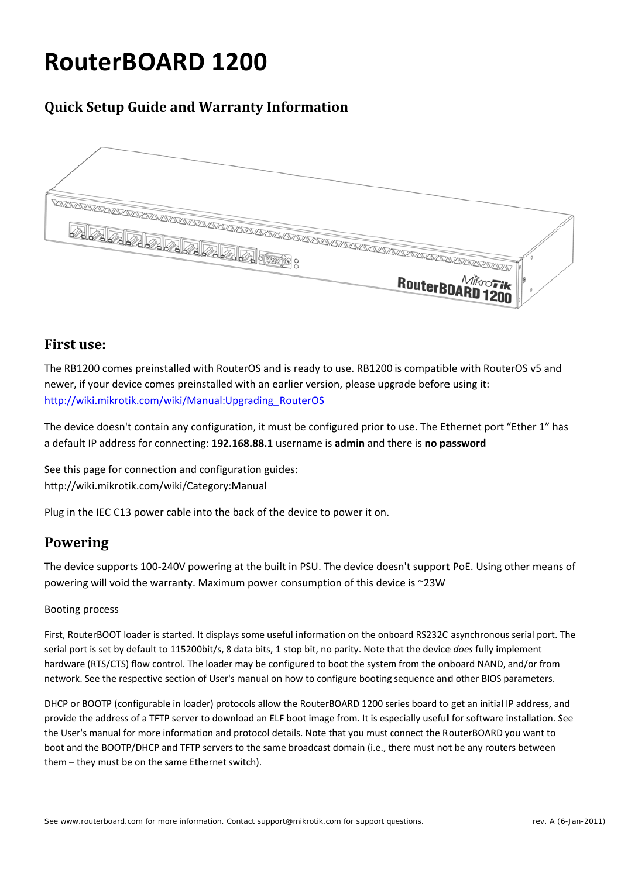# **RouterBOARD 1200**

# **Quick Setup Guide and Warranty Information**



#### **First use:**

The RB1200 comes preinstalled with RouterOS and is ready to use. RB1200 is compatible with RouterOS v5 and newer, if your device comes preinstalled with an earlier version, please upgrade before using it: http://wiki.mikrotik.com/wiki/Manual:Upgrading RouterOS

The device doesn't contain any configuration, it must be configured prior to use. The Ethernet port "Ether 1" has a default IP address for connecting: 192.168.88.1 username is admin and there is no password

See this page for connection and configuration guides: http://wiki.mikrotik.com/wiki/Category:Manual

Plug in the IEC C13 power cable into the back of the device to power it on.

## **Powering**

The device supports 100-240V powering at the built in PSU. The device doesn't support PoE, Using other means of powering will void the warranty. Maximum power consumption of this device is ~23W

#### **Booting process**

First, RouterBOOT loader is started. It displays some useful information on the onboard RS232C asynchronous serial port. The serial port is set by default to 115200bit/s, 8 data bits, 1 stop bit, no parity. Note that the device does fully implement hardware (RTS/CTS) flow control. The loader may be configured to boot the system from the onboard NAND, and/or from network. See the respective section of User's manual on how to configure booting sequence and other BIOS parameters.

DHCP or BOOTP (configurable in loader) protocols allow the RouterBOARD 1200 series board to get an initial IP address, and provide the address of a TFTP server to download an ELF boot image from. It is especially usefull for software installation. See the User's manual for more information and protocol details. Note that you must connect the RouterBOARD you want to boot and the BOOTP/DHCP and TFTP servers to the same broadcast domain (i.e., there must not be any routers between them - they must be on the same Ethernet switch).